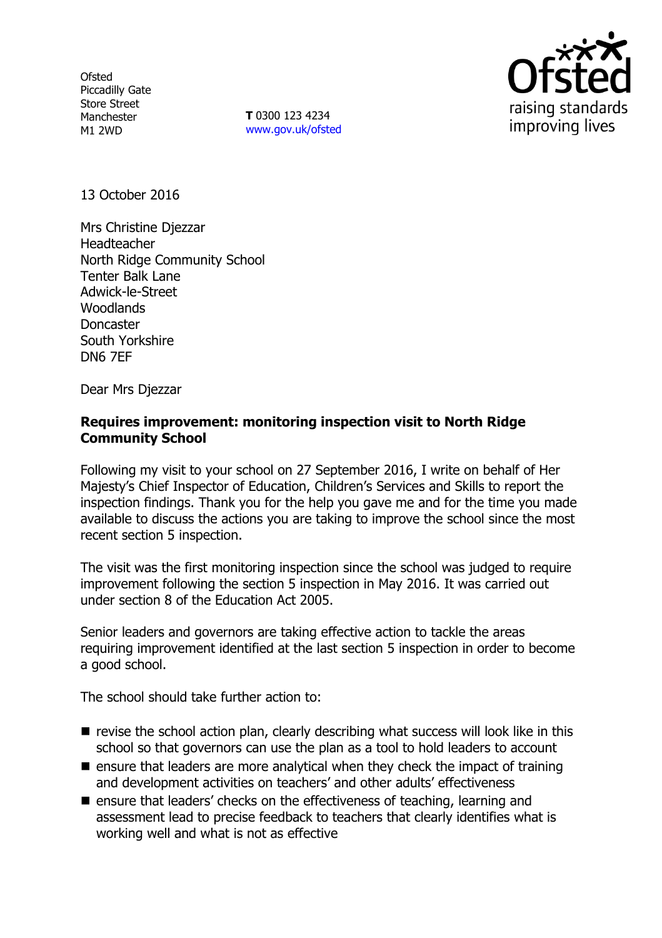**Ofsted** Piccadilly Gate Store Street Manchester M1 2WD

**T** 0300 123 4234 www.gov.uk/ofsted



13 October 2016

Mrs Christine Djezzar Headteacher North Ridge Community School Tenter Balk Lane Adwick-le-Street **Woodlands** Doncaster South Yorkshire DN6 7EF

Dear Mrs Djezzar

#### **Requires improvement: monitoring inspection visit to North Ridge Community School**

Following my visit to your school on 27 September 2016, I write on behalf of Her Majesty's Chief Inspector of Education, Children's Services and Skills to report the inspection findings. Thank you for the help you gave me and for the time you made available to discuss the actions you are taking to improve the school since the most recent section 5 inspection.

The visit was the first monitoring inspection since the school was judged to require improvement following the section 5 inspection in May 2016. It was carried out under section 8 of the Education Act 2005.

Senior leaders and governors are taking effective action to tackle the areas requiring improvement identified at the last section 5 inspection in order to become a good school.

The school should take further action to:

- $\blacksquare$  revise the school action plan, clearly describing what success will look like in this school so that governors can use the plan as a tool to hold leaders to account
- $\blacksquare$  ensure that leaders are more analytical when they check the impact of training and development activities on teachers' and other adults' effectiveness
- **E** ensure that leaders' checks on the effectiveness of teaching, learning and assessment lead to precise feedback to teachers that clearly identifies what is working well and what is not as effective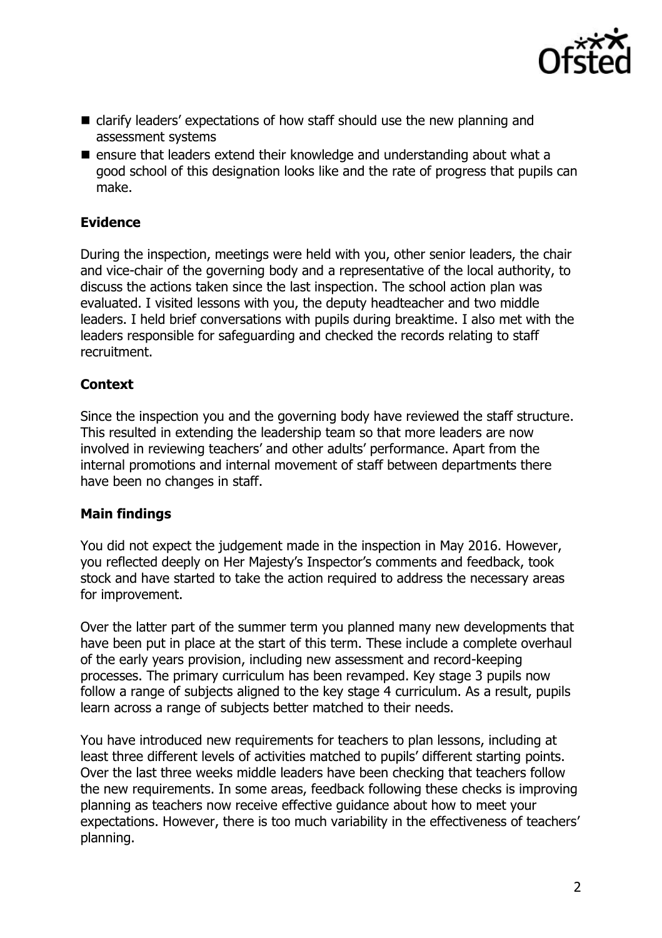

- clarify leaders' expectations of how staff should use the new planning and assessment systems
- $\blacksquare$  ensure that leaders extend their knowledge and understanding about what a good school of this designation looks like and the rate of progress that pupils can make.

# **Evidence**

During the inspection, meetings were held with you, other senior leaders, the chair and vice-chair of the governing body and a representative of the local authority, to discuss the actions taken since the last inspection. The school action plan was evaluated. I visited lessons with you, the deputy headteacher and two middle leaders. I held brief conversations with pupils during breaktime. I also met with the leaders responsible for safeguarding and checked the records relating to staff recruitment.

## **Context**

Since the inspection you and the governing body have reviewed the staff structure. This resulted in extending the leadership team so that more leaders are now involved in reviewing teachers' and other adults' performance. Apart from the internal promotions and internal movement of staff between departments there have been no changes in staff.

#### **Main findings**

You did not expect the judgement made in the inspection in May 2016. However, you reflected deeply on Her Majesty's Inspector's comments and feedback, took stock and have started to take the action required to address the necessary areas for improvement.

Over the latter part of the summer term you planned many new developments that have been put in place at the start of this term. These include a complete overhaul of the early years provision, including new assessment and record-keeping processes. The primary curriculum has been revamped. Key stage 3 pupils now follow a range of subjects aligned to the key stage 4 curriculum. As a result, pupils learn across a range of subjects better matched to their needs.

You have introduced new requirements for teachers to plan lessons, including at least three different levels of activities matched to pupils' different starting points. Over the last three weeks middle leaders have been checking that teachers follow the new requirements. In some areas, feedback following these checks is improving planning as teachers now receive effective guidance about how to meet your expectations. However, there is too much variability in the effectiveness of teachers' planning.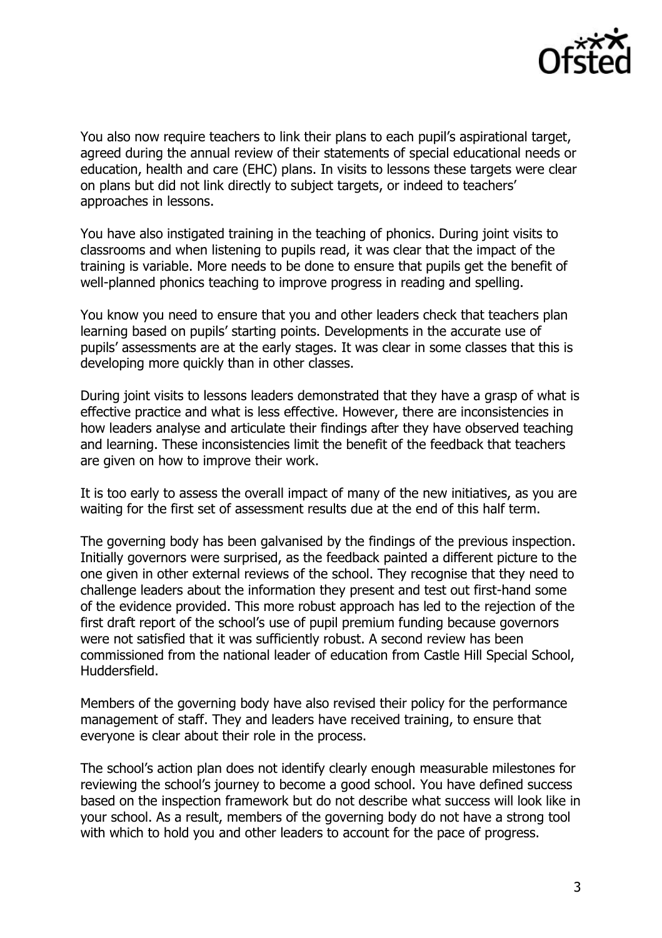

You also now require teachers to link their plans to each pupil's aspirational target, agreed during the annual review of their statements of special educational needs or education, health and care (EHC) plans. In visits to lessons these targets were clear on plans but did not link directly to subject targets, or indeed to teachers' approaches in lessons.

You have also instigated training in the teaching of phonics. During joint visits to classrooms and when listening to pupils read, it was clear that the impact of the training is variable. More needs to be done to ensure that pupils get the benefit of well-planned phonics teaching to improve progress in reading and spelling.

You know you need to ensure that you and other leaders check that teachers plan learning based on pupils' starting points. Developments in the accurate use of pupils' assessments are at the early stages. It was clear in some classes that this is developing more quickly than in other classes.

During joint visits to lessons leaders demonstrated that they have a grasp of what is effective practice and what is less effective. However, there are inconsistencies in how leaders analyse and articulate their findings after they have observed teaching and learning. These inconsistencies limit the benefit of the feedback that teachers are given on how to improve their work.

It is too early to assess the overall impact of many of the new initiatives, as you are waiting for the first set of assessment results due at the end of this half term.

The governing body has been galvanised by the findings of the previous inspection. Initially governors were surprised, as the feedback painted a different picture to the one given in other external reviews of the school. They recognise that they need to challenge leaders about the information they present and test out first-hand some of the evidence provided. This more robust approach has led to the rejection of the first draft report of the school's use of pupil premium funding because governors were not satisfied that it was sufficiently robust. A second review has been commissioned from the national leader of education from Castle Hill Special School, Huddersfield.

Members of the governing body have also revised their policy for the performance management of staff. They and leaders have received training, to ensure that everyone is clear about their role in the process.

The school's action plan does not identify clearly enough measurable milestones for reviewing the school's journey to become a good school. You have defined success based on the inspection framework but do not describe what success will look like in your school. As a result, members of the governing body do not have a strong tool with which to hold you and other leaders to account for the pace of progress.